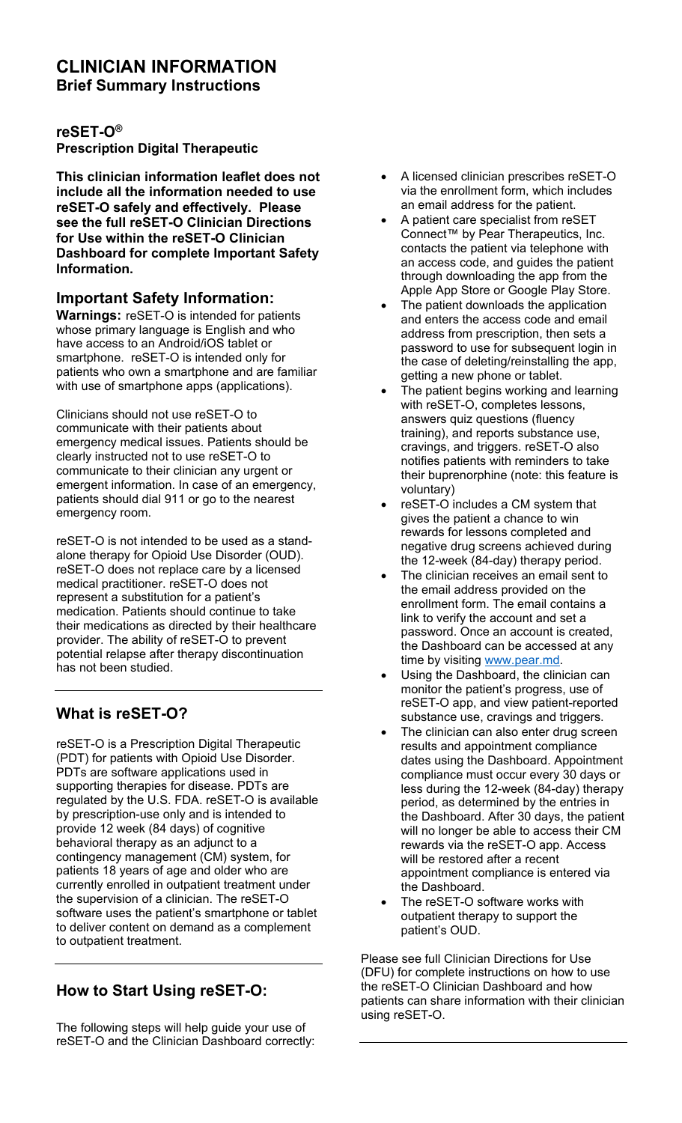#### **CLINICIAN INFORMATION Brief Summary Instructions**

#### **reSET-O® Prescription Digital Therapeutic**

**This clinician information leaflet does not include all the information needed to use reSET-O safely and effectively. Please see the full reSET-O Clinician Directions for Use within the reSET-O Clinician Dashboard for complete Important Safety Information.** 

### **Important Safety Information:**

**Warnings:** reSET-O is intended for patients whose primary language is English and who have access to an Android/iOS tablet or smartphone. reSET-O is intended only for patients who own a smartphone and are familiar with use of smartphone apps (applications).

Clinicians should not use reSET-O to communicate with their patients about emergency medical issues. Patients should be clearly instructed not to use reSET-O to communicate to their clinician any urgent or emergent information. In case of an emergency, patients should dial 911 or go to the nearest emergency room.

reSET-O is not intended to be used as a standalone therapy for Opioid Use Disorder (OUD). reSET-O does not replace care by a licensed medical practitioner. reSET-O does not represent a substitution for a patient's medication. Patients should continue to take their medications as directed by their healthcare provider. The ability of reSET-O to prevent potential relapse after therapy discontinuation has not been studied.

## **What is reSET-O?**

reSET-O is a Prescription Digital Therapeutic (PDT) for patients with Opioid Use Disorder. PDTs are software applications used in supporting therapies for disease. PDTs are regulated by the U.S. FDA. reSET-O is available by prescription-use only and is intended to provide 12 week (84 days) of cognitive behavioral therapy as an adjunct to a contingency management (CM) system, for patients 18 years of age and older who are currently enrolled in outpatient treatment under the supervision of a clinician. The reSET-O software uses the patient's smartphone or tablet to deliver content on demand as a complement to outpatient treatment.

# **How to Start Using reSET-O:**

The following steps will help guide your use of reSET-O and the Clinician Dashboard correctly:

- A licensed clinician prescribes reSET-O via the enrollment form, which includes an email address for the patient.
- A patient care specialist from reSET Connect™ by Pear Therapeutics, Inc. contacts the patient via telephone with an access code, and guides the patient through downloading the app from the Apple App Store or Google Play Store.
- The patient downloads the application and enters the access code and email address from prescription, then sets a password to use for subsequent login in the case of deleting/reinstalling the app, getting a new phone or tablet.
- The patient begins working and learning with reSET-O, completes lessons, answers quiz questions (fluency training), and reports substance use, cravings, and triggers. reSET-O also notifies patients with reminders to take their buprenorphine (note: this feature is voluntary)
- reSET-O includes a CM system that gives the patient a chance to win rewards for lessons completed and negative drug screens achieved during the 12-week (84-day) therapy period.
- The clinician receives an email sent to the email address provided on the enrollment form. The email contains a link to verify the account and set a password. Once an account is created, the Dashboard can be accessed at any time by visiting [www.pear.md.](http://www.pear.md/)
- Using the Dashboard, the clinician can monitor the patient's progress, use of reSET-O app, and view patient-reported substance use, cravings and triggers.
- The clinician can also enter drug screen results and appointment compliance dates using the Dashboard. Appointment compliance must occur every 30 days or less during the 12-week (84-day) therapy period, as determined by the entries in the Dashboard. After 30 days, the patient will no longer be able to access their CM rewards via the reSET-O app. Access will be restored after a recent appointment compliance is entered via the Dashboard.
- The reSET-O software works with outpatient therapy to support the patient's OUD.

Please see full Clinician Directions for Use (DFU) for complete instructions on how to use the reSET-O Clinician Dashboard and how patients can share information with their clinician using reSET-O.